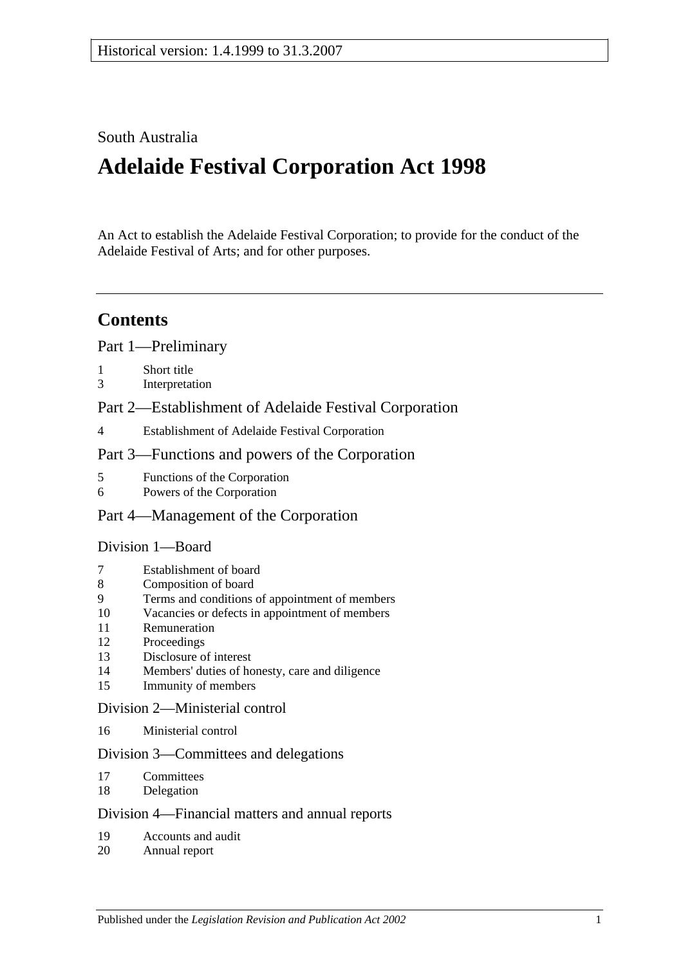### South Australia

# **Adelaide Festival Corporation Act 1998**

An Act to establish the Adelaide Festival Corporation; to provide for the conduct of the Adelaide Festival of Arts; and for other purposes.

# **Contents**

[Part 1—Preliminary](#page-1-0)

- 1 [Short title](#page-1-1)
- 3 [Interpretation](#page-1-2)
- [Part 2—Establishment of Adelaide Festival Corporation](#page-2-0)
- 4 [Establishment of Adelaide Festival Corporation](#page-2-1)

#### [Part 3—Functions and powers of the Corporation](#page-2-2)

- 5 [Functions of the Corporation](#page-2-3)
- 6 [Powers of the Corporation](#page-2-4)

#### [Part 4—Management of the Corporation](#page-3-0)

#### [Division 1—Board](#page-3-1)

- 7 [Establishment of board](#page-3-2)
- 8 [Composition of board](#page-4-0)
- 9 [Terms and conditions of appointment of members](#page-4-1)
- 10 [Vacancies or defects in appointment of members](#page-4-2)
- 11 [Remuneration](#page-4-3)
- 12 [Proceedings](#page-5-0)
- 13 [Disclosure of interest](#page-5-1)
- 14 [Members' duties of honesty, care and diligence](#page-6-0)
- 15 [Immunity of members](#page-6-1)

#### [Division 2—Ministerial control](#page-7-0)

16 [Ministerial control](#page-7-1)

#### [Division 3—Committees and delegations](#page-7-2)

- 17 [Committees](#page-7-3)
- 18 [Delegation](#page-7-4)

#### [Division 4—Financial matters and annual reports](#page-8-0)

- 19 [Accounts and audit](#page-8-1)
- 20 [Annual report](#page-8-2)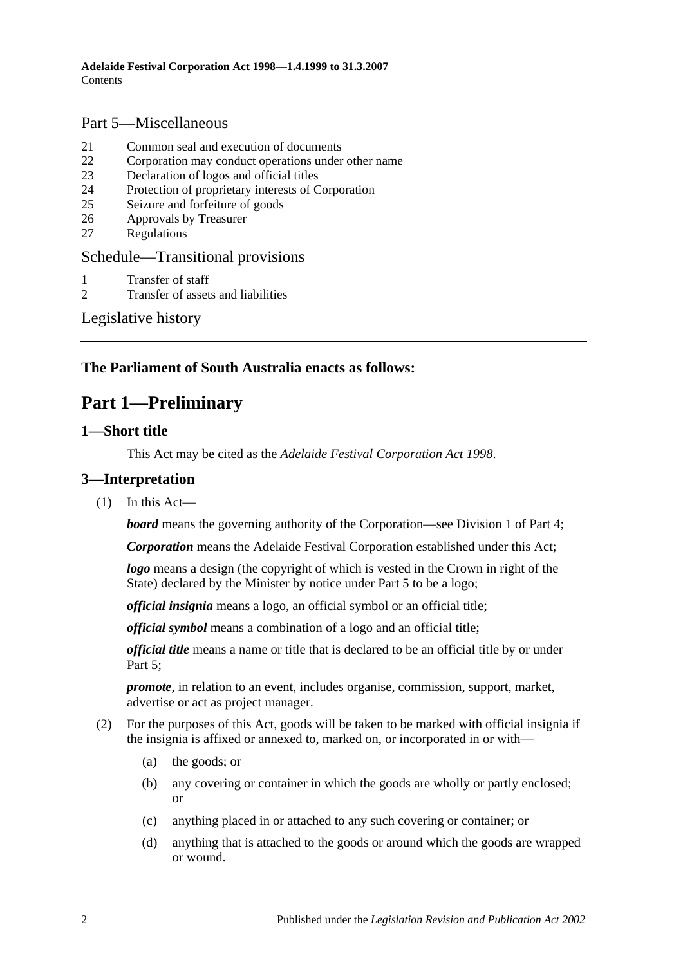#### [Part 5—Miscellaneous](#page-8-3)

- 21 [Common seal and execution of documents](#page-8-4)
- 22 [Corporation may conduct operations under other name](#page-9-0)
- 23 [Declaration of logos and official titles](#page-9-1)
- 24 [Protection of proprietary interests of Corporation](#page-9-2)
- 25 [Seizure and forfeiture of goods](#page-10-0)
- 26 [Approvals by Treasurer](#page-10-1)
- 27 [Regulations](#page-11-0)

#### [Schedule—Transitional provisions](#page-11-1)

- 1 [Transfer of staff](#page-11-2)<br>2 Transfer of asset
- 2 [Transfer of assets and liabilities](#page-11-3)

[Legislative history](#page-13-0)

#### <span id="page-1-0"></span>**The Parliament of South Australia enacts as follows:**

# **Part 1—Preliminary**

#### <span id="page-1-1"></span>**1—Short title**

This Act may be cited as the *Adelaide Festival Corporation Act 1998*.

#### <span id="page-1-2"></span>**3—Interpretation**

 $(1)$  In this Act—

*board* means the governing authority of the Corporation—see [Division 1](#page-3-1) of [Part 4;](#page-3-0)

*Corporation* means the Adelaide Festival Corporation established under this Act;

*logo* means a design (the copyright of which is vested in the Crown in right of the State) declared by the Minister by notice under [Part 5](#page-8-3) to be a logo;

*official insignia* means a logo, an official symbol or an official title;

*official symbol* means a combination of a logo and an official title;

*official title* means a name or title that is declared to be an official title by or under [Part 5;](#page-8-3)

*promote*, in relation to an event, includes organise, commission, support, market, advertise or act as project manager.

- (2) For the purposes of this Act, goods will be taken to be marked with official insignia if the insignia is affixed or annexed to, marked on, or incorporated in or with—
	- (a) the goods; or
	- (b) any covering or container in which the goods are wholly or partly enclosed; or
	- (c) anything placed in or attached to any such covering or container; or
	- (d) anything that is attached to the goods or around which the goods are wrapped or wound.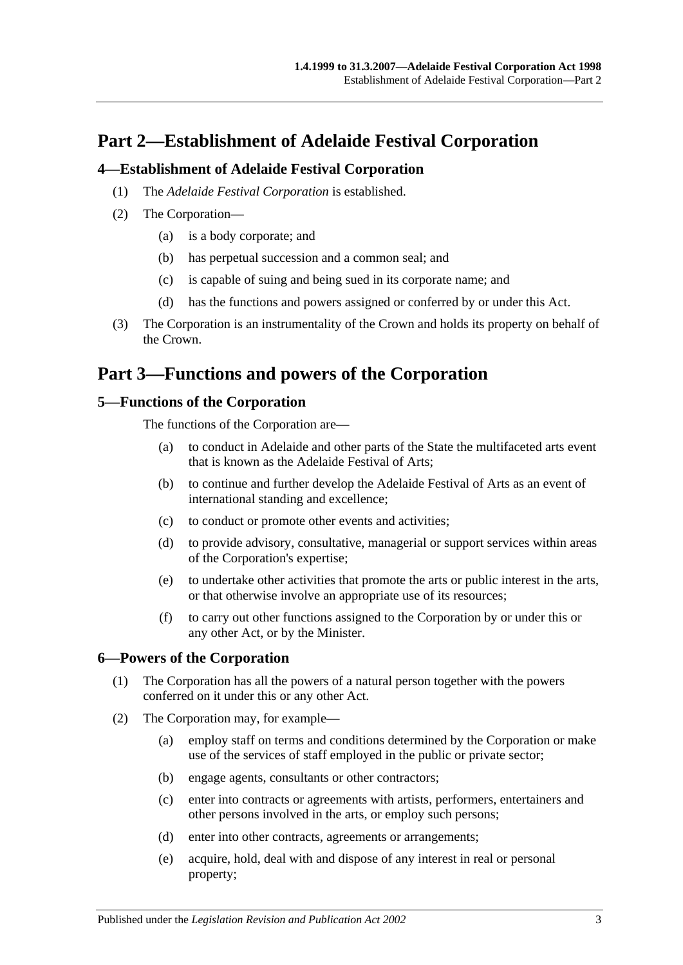# <span id="page-2-0"></span>**Part 2—Establishment of Adelaide Festival Corporation**

#### <span id="page-2-1"></span>**4—Establishment of Adelaide Festival Corporation**

- (1) The *Adelaide Festival Corporation* is established.
- (2) The Corporation—
	- (a) is a body corporate; and
	- (b) has perpetual succession and a common seal; and
	- (c) is capable of suing and being sued in its corporate name; and
	- (d) has the functions and powers assigned or conferred by or under this Act.
- (3) The Corporation is an instrumentality of the Crown and holds its property on behalf of the Crown.

# <span id="page-2-2"></span>**Part 3—Functions and powers of the Corporation**

#### <span id="page-2-3"></span>**5—Functions of the Corporation**

The functions of the Corporation are—

- (a) to conduct in Adelaide and other parts of the State the multifaceted arts event that is known as the Adelaide Festival of Arts;
- (b) to continue and further develop the Adelaide Festival of Arts as an event of international standing and excellence;
- (c) to conduct or promote other events and activities;
- (d) to provide advisory, consultative, managerial or support services within areas of the Corporation's expertise;
- (e) to undertake other activities that promote the arts or public interest in the arts, or that otherwise involve an appropriate use of its resources;
- (f) to carry out other functions assigned to the Corporation by or under this or any other Act, or by the Minister.

#### <span id="page-2-4"></span>**6—Powers of the Corporation**

- (1) The Corporation has all the powers of a natural person together with the powers conferred on it under this or any other Act.
- (2) The Corporation may, for example—
	- (a) employ staff on terms and conditions determined by the Corporation or make use of the services of staff employed in the public or private sector;
	- (b) engage agents, consultants or other contractors;
	- (c) enter into contracts or agreements with artists, performers, entertainers and other persons involved in the arts, or employ such persons;
	- (d) enter into other contracts, agreements or arrangements;
	- (e) acquire, hold, deal with and dispose of any interest in real or personal property;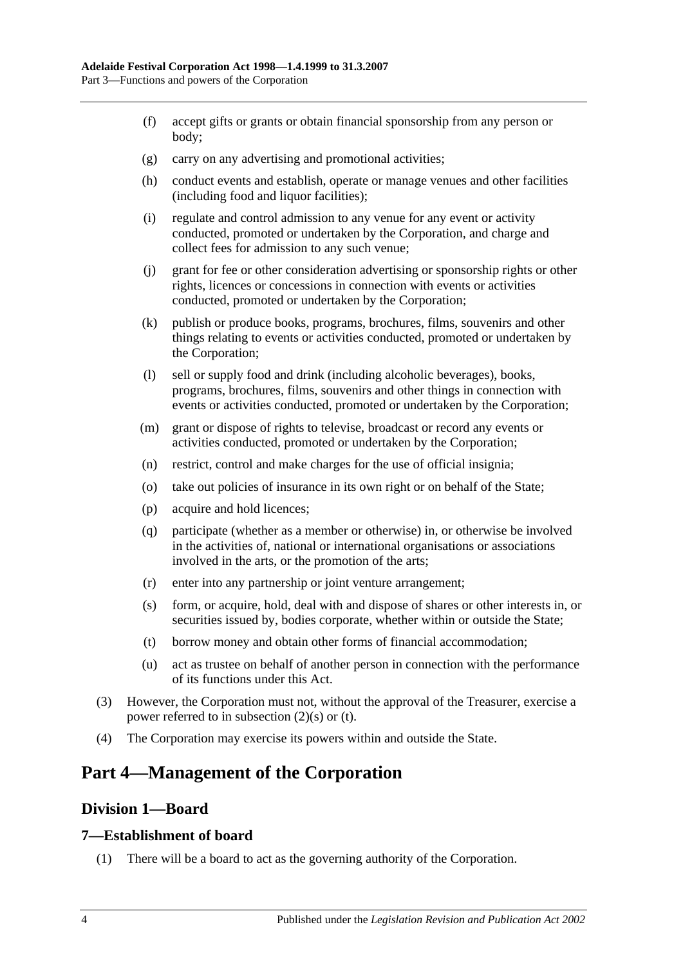- (f) accept gifts or grants or obtain financial sponsorship from any person or body;
- (g) carry on any advertising and promotional activities;
- (h) conduct events and establish, operate or manage venues and other facilities (including food and liquor facilities);
- (i) regulate and control admission to any venue for any event or activity conducted, promoted or undertaken by the Corporation, and charge and collect fees for admission to any such venue;
- (j) grant for fee or other consideration advertising or sponsorship rights or other rights, licences or concessions in connection with events or activities conducted, promoted or undertaken by the Corporation;
- (k) publish or produce books, programs, brochures, films, souvenirs and other things relating to events or activities conducted, promoted or undertaken by the Corporation;
- (l) sell or supply food and drink (including alcoholic beverages), books, programs, brochures, films, souvenirs and other things in connection with events or activities conducted, promoted or undertaken by the Corporation;
- (m) grant or dispose of rights to televise, broadcast or record any events or activities conducted, promoted or undertaken by the Corporation;
- (n) restrict, control and make charges for the use of official insignia;
- (o) take out policies of insurance in its own right or on behalf of the State;
- (p) acquire and hold licences;
- (q) participate (whether as a member or otherwise) in, or otherwise be involved in the activities of, national or international organisations or associations involved in the arts, or the promotion of the arts;
- (r) enter into any partnership or joint venture arrangement;
- <span id="page-3-3"></span>(s) form, or acquire, hold, deal with and dispose of shares or other interests in, or securities issued by, bodies corporate, whether within or outside the State;
- <span id="page-3-4"></span>(t) borrow money and obtain other forms of financial accommodation;
- (u) act as trustee on behalf of another person in connection with the performance of its functions under this Act.
- (3) However, the Corporation must not, without the approval of the Treasurer, exercise a power referred to in [subsection](#page-3-3) (2)(s) or [\(t\).](#page-3-4)
- (4) The Corporation may exercise its powers within and outside the State.

# <span id="page-3-1"></span><span id="page-3-0"></span>**Part 4—Management of the Corporation**

#### **Division 1—Board**

#### <span id="page-3-2"></span>**7—Establishment of board**

(1) There will be a board to act as the governing authority of the Corporation.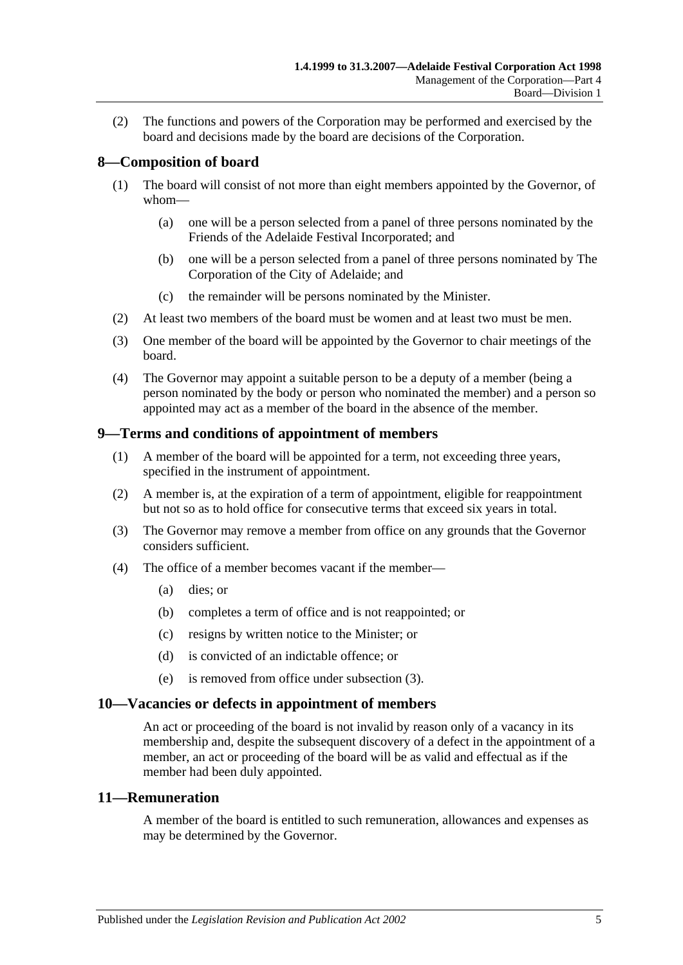(2) The functions and powers of the Corporation may be performed and exercised by the board and decisions made by the board are decisions of the Corporation.

#### <span id="page-4-0"></span>**8—Composition of board**

- (1) The board will consist of not more than eight members appointed by the Governor, of whom—
	- (a) one will be a person selected from a panel of three persons nominated by the Friends of the Adelaide Festival Incorporated; and
	- (b) one will be a person selected from a panel of three persons nominated by The Corporation of the City of Adelaide; and
	- (c) the remainder will be persons nominated by the Minister.
- (2) At least two members of the board must be women and at least two must be men.
- (3) One member of the board will be appointed by the Governor to chair meetings of the board.
- (4) The Governor may appoint a suitable person to be a deputy of a member (being a person nominated by the body or person who nominated the member) and a person so appointed may act as a member of the board in the absence of the member.

#### <span id="page-4-1"></span>**9—Terms and conditions of appointment of members**

- (1) A member of the board will be appointed for a term, not exceeding three years, specified in the instrument of appointment.
- (2) A member is, at the expiration of a term of appointment, eligible for reappointment but not so as to hold office for consecutive terms that exceed six years in total.
- <span id="page-4-4"></span>(3) The Governor may remove a member from office on any grounds that the Governor considers sufficient.
- (4) The office of a member becomes vacant if the member—
	- (a) dies; or
	- (b) completes a term of office and is not reappointed; or
	- (c) resigns by written notice to the Minister; or
	- (d) is convicted of an indictable offence; or
	- (e) is removed from office under [subsection](#page-4-4) (3).

#### <span id="page-4-2"></span>**10—Vacancies or defects in appointment of members**

An act or proceeding of the board is not invalid by reason only of a vacancy in its membership and, despite the subsequent discovery of a defect in the appointment of a member, an act or proceeding of the board will be as valid and effectual as if the member had been duly appointed.

#### <span id="page-4-3"></span>**11—Remuneration**

A member of the board is entitled to such remuneration, allowances and expenses as may be determined by the Governor.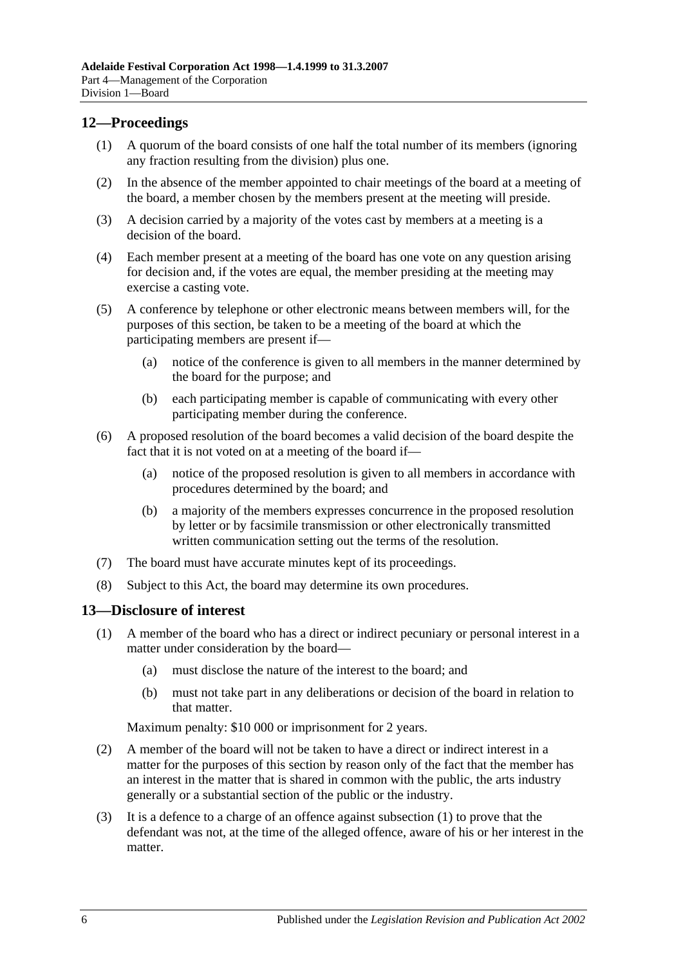#### <span id="page-5-0"></span>**12—Proceedings**

- (1) A quorum of the board consists of one half the total number of its members (ignoring any fraction resulting from the division) plus one.
- (2) In the absence of the member appointed to chair meetings of the board at a meeting of the board, a member chosen by the members present at the meeting will preside.
- (3) A decision carried by a majority of the votes cast by members at a meeting is a decision of the board.
- (4) Each member present at a meeting of the board has one vote on any question arising for decision and, if the votes are equal, the member presiding at the meeting may exercise a casting vote.
- (5) A conference by telephone or other electronic means between members will, for the purposes of this section, be taken to be a meeting of the board at which the participating members are present if—
	- (a) notice of the conference is given to all members in the manner determined by the board for the purpose; and
	- (b) each participating member is capable of communicating with every other participating member during the conference.
- (6) A proposed resolution of the board becomes a valid decision of the board despite the fact that it is not voted on at a meeting of the board if—
	- (a) notice of the proposed resolution is given to all members in accordance with procedures determined by the board; and
	- (b) a majority of the members expresses concurrence in the proposed resolution by letter or by facsimile transmission or other electronically transmitted written communication setting out the terms of the resolution.
- (7) The board must have accurate minutes kept of its proceedings.
- (8) Subject to this Act, the board may determine its own procedures.

#### <span id="page-5-2"></span><span id="page-5-1"></span>**13—Disclosure of interest**

- (1) A member of the board who has a direct or indirect pecuniary or personal interest in a matter under consideration by the board—
	- (a) must disclose the nature of the interest to the board; and
	- (b) must not take part in any deliberations or decision of the board in relation to that matter.

Maximum penalty: \$10 000 or imprisonment for 2 years.

- (2) A member of the board will not be taken to have a direct or indirect interest in a matter for the purposes of this section by reason only of the fact that the member has an interest in the matter that is shared in common with the public, the arts industry generally or a substantial section of the public or the industry.
- (3) It is a defence to a charge of an offence against [subsection](#page-5-2) (1) to prove that the defendant was not, at the time of the alleged offence, aware of his or her interest in the matter.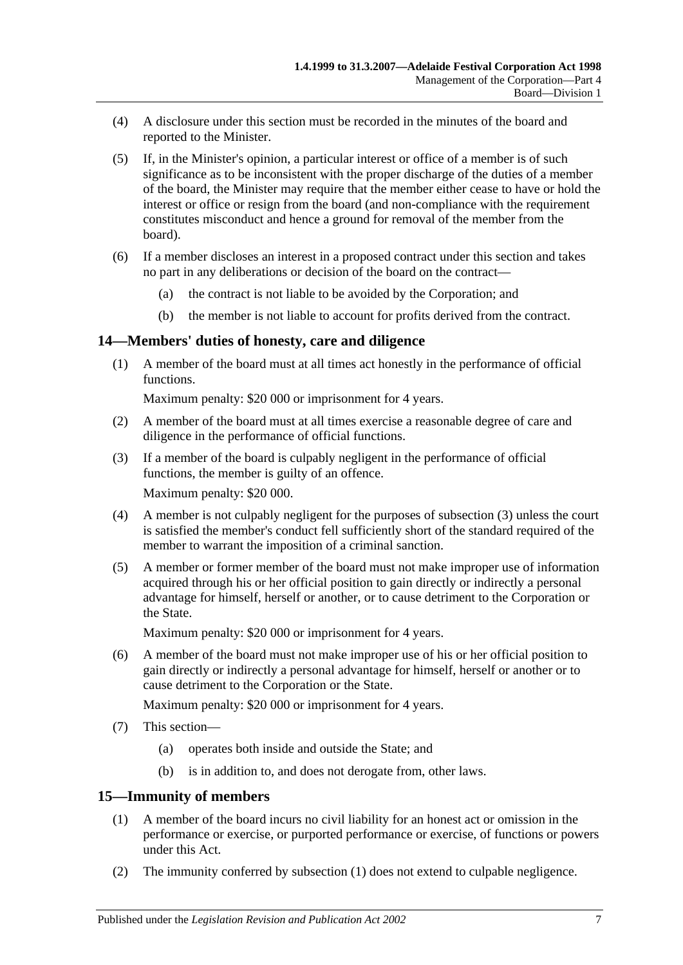- (4) A disclosure under this section must be recorded in the minutes of the board and reported to the Minister.
- (5) If, in the Minister's opinion, a particular interest or office of a member is of such significance as to be inconsistent with the proper discharge of the duties of a member of the board, the Minister may require that the member either cease to have or hold the interest or office or resign from the board (and non-compliance with the requirement constitutes misconduct and hence a ground for removal of the member from the board).
- (6) If a member discloses an interest in a proposed contract under this section and takes no part in any deliberations or decision of the board on the contract—
	- (a) the contract is not liable to be avoided by the Corporation; and
	- (b) the member is not liable to account for profits derived from the contract.

#### <span id="page-6-0"></span>**14—Members' duties of honesty, care and diligence**

(1) A member of the board must at all times act honestly in the performance of official functions.

Maximum penalty: \$20 000 or imprisonment for 4 years.

- (2) A member of the board must at all times exercise a reasonable degree of care and diligence in the performance of official functions.
- <span id="page-6-2"></span>(3) If a member of the board is culpably negligent in the performance of official functions, the member is guilty of an offence. Maximum penalty: \$20 000.
- (4) A member is not culpably negligent for the purposes of [subsection](#page-6-2) (3) unless the court is satisfied the member's conduct fell sufficiently short of the standard required of the member to warrant the imposition of a criminal sanction.
- (5) A member or former member of the board must not make improper use of information acquired through his or her official position to gain directly or indirectly a personal advantage for himself, herself or another, or to cause detriment to the Corporation or the State.

Maximum penalty: \$20 000 or imprisonment for 4 years.

(6) A member of the board must not make improper use of his or her official position to gain directly or indirectly a personal advantage for himself, herself or another or to cause detriment to the Corporation or the State.

Maximum penalty: \$20 000 or imprisonment for 4 years.

- (7) This section—
	- (a) operates both inside and outside the State; and
	- (b) is in addition to, and does not derogate from, other laws.

#### <span id="page-6-3"></span><span id="page-6-1"></span>**15—Immunity of members**

- (1) A member of the board incurs no civil liability for an honest act or omission in the performance or exercise, or purported performance or exercise, of functions or powers under this Act.
- (2) The immunity conferred by [subsection](#page-6-3) (1) does not extend to culpable negligence.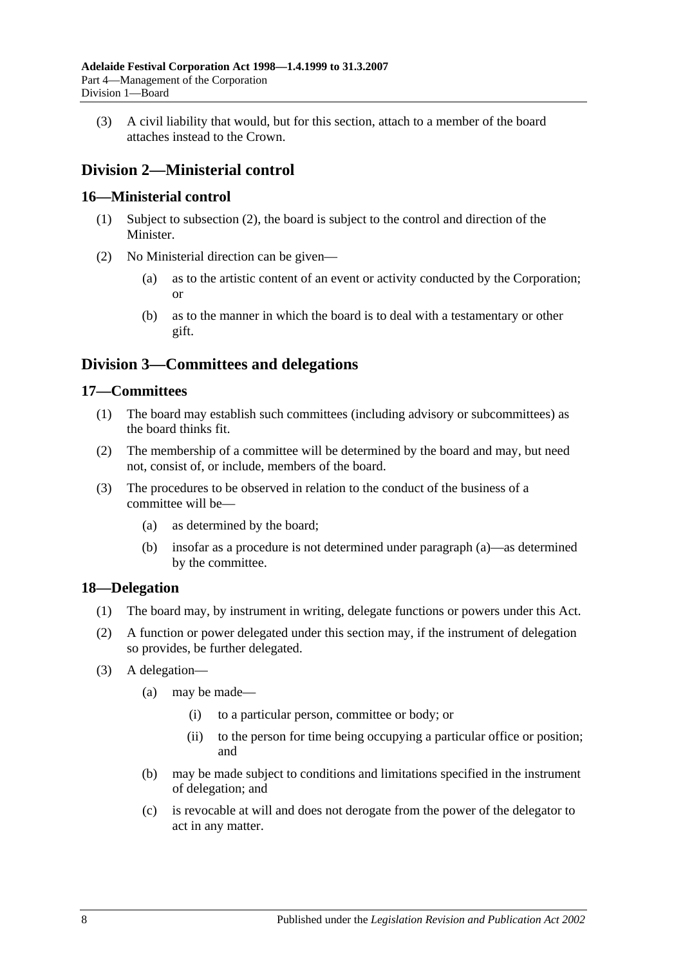(3) A civil liability that would, but for this section, attach to a member of the board attaches instead to the Crown.

### <span id="page-7-0"></span>**Division 2—Ministerial control**

#### <span id="page-7-1"></span>**16—Ministerial control**

- (1) Subject to [subsection](#page-7-5) (2), the board is subject to the control and direction of the **Minister**
- <span id="page-7-5"></span>(2) No Ministerial direction can be given—
	- (a) as to the artistic content of an event or activity conducted by the Corporation; or
	- (b) as to the manner in which the board is to deal with a testamentary or other gift.

### <span id="page-7-2"></span>**Division 3—Committees and delegations**

#### <span id="page-7-3"></span>**17—Committees**

- (1) The board may establish such committees (including advisory or subcommittees) as the board thinks fit.
- (2) The membership of a committee will be determined by the board and may, but need not, consist of, or include, members of the board.
- (3) The procedures to be observed in relation to the conduct of the business of a committee will be—
	- (a) as determined by the board;
	- (b) insofar as a procedure is not determined under paragraph (a)—as determined by the committee.

#### <span id="page-7-4"></span>**18—Delegation**

- (1) The board may, by instrument in writing, delegate functions or powers under this Act.
- (2) A function or power delegated under this section may, if the instrument of delegation so provides, be further delegated.
- (3) A delegation—
	- (a) may be made—
		- (i) to a particular person, committee or body; or
		- (ii) to the person for time being occupying a particular office or position; and
	- (b) may be made subject to conditions and limitations specified in the instrument of delegation; and
	- (c) is revocable at will and does not derogate from the power of the delegator to act in any matter.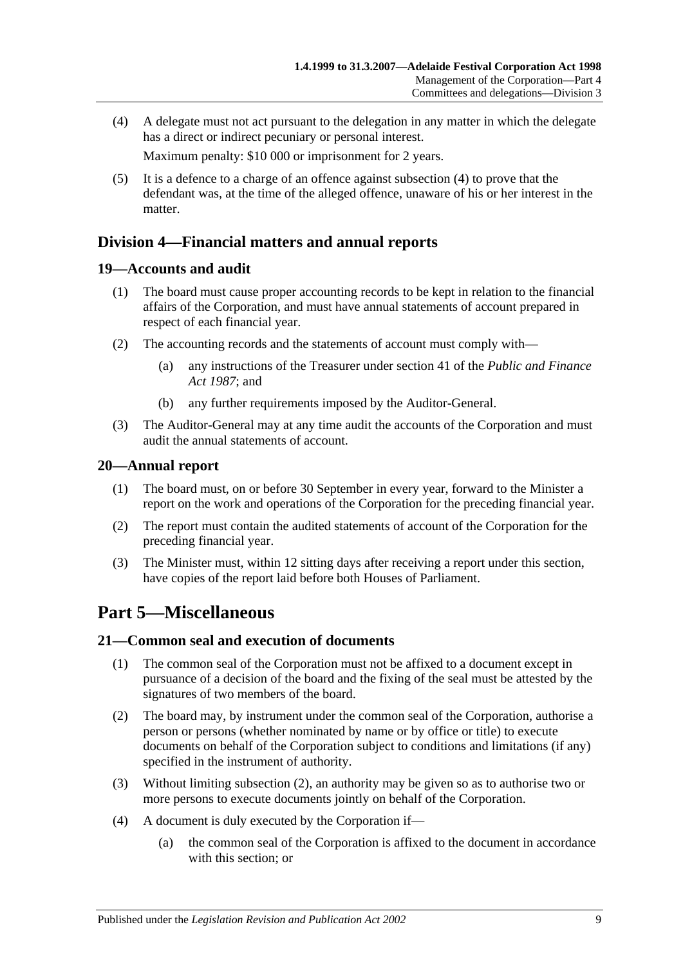<span id="page-8-5"></span>(4) A delegate must not act pursuant to the delegation in any matter in which the delegate has a direct or indirect pecuniary or personal interest.

Maximum penalty: \$10 000 or imprisonment for 2 years.

(5) It is a defence to a charge of an offence against [subsection](#page-8-5) (4) to prove that the defendant was, at the time of the alleged offence, unaware of his or her interest in the matter.

#### <span id="page-8-0"></span>**Division 4—Financial matters and annual reports**

#### <span id="page-8-1"></span>**19—Accounts and audit**

- (1) The board must cause proper accounting records to be kept in relation to the financial affairs of the Corporation, and must have annual statements of account prepared in respect of each financial year.
- (2) The accounting records and the statements of account must comply with—
	- (a) any instructions of the Treasurer under section 41 of the *[Public and Finance](http://www.legislation.sa.gov.au/index.aspx?action=legref&type=act&legtitle=Public%20and%20Finance%20Act%201987)  Act [1987](http://www.legislation.sa.gov.au/index.aspx?action=legref&type=act&legtitle=Public%20and%20Finance%20Act%201987)*; and
	- (b) any further requirements imposed by the Auditor-General.
- (3) The Auditor-General may at any time audit the accounts of the Corporation and must audit the annual statements of account.

#### <span id="page-8-2"></span>**20—Annual report**

- (1) The board must, on or before 30 September in every year, forward to the Minister a report on the work and operations of the Corporation for the preceding financial year.
- (2) The report must contain the audited statements of account of the Corporation for the preceding financial year.
- (3) The Minister must, within 12 sitting days after receiving a report under this section, have copies of the report laid before both Houses of Parliament.

# <span id="page-8-3"></span>**Part 5—Miscellaneous**

#### <span id="page-8-4"></span>**21—Common seal and execution of documents**

- (1) The common seal of the Corporation must not be affixed to a document except in pursuance of a decision of the board and the fixing of the seal must be attested by the signatures of two members of the board.
- <span id="page-8-6"></span>(2) The board may, by instrument under the common seal of the Corporation, authorise a person or persons (whether nominated by name or by office or title) to execute documents on behalf of the Corporation subject to conditions and limitations (if any) specified in the instrument of authority.
- (3) Without limiting [subsection](#page-8-6) (2), an authority may be given so as to authorise two or more persons to execute documents jointly on behalf of the Corporation.
- (4) A document is duly executed by the Corporation if—
	- (a) the common seal of the Corporation is affixed to the document in accordance with this section; or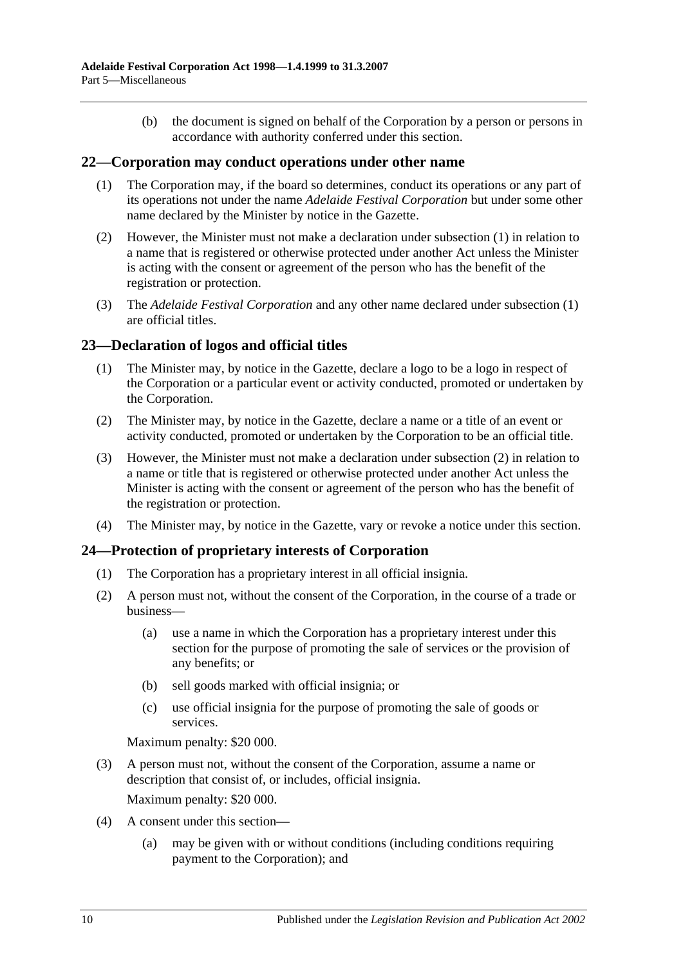(b) the document is signed on behalf of the Corporation by a person or persons in accordance with authority conferred under this section.

#### <span id="page-9-3"></span><span id="page-9-0"></span>**22—Corporation may conduct operations under other name**

- (1) The Corporation may, if the board so determines, conduct its operations or any part of its operations not under the name *Adelaide Festival Corporation* but under some other name declared by the Minister by notice in the Gazette.
- (2) However, the Minister must not make a declaration under [subsection](#page-9-3) (1) in relation to a name that is registered or otherwise protected under another Act unless the Minister is acting with the consent or agreement of the person who has the benefit of the registration or protection.
- (3) The *Adelaide Festival Corporation* and any other name declared under [subsection](#page-9-3) (1) are official titles.

#### <span id="page-9-1"></span>**23—Declaration of logos and official titles**

- (1) The Minister may, by notice in the Gazette, declare a logo to be a logo in respect of the Corporation or a particular event or activity conducted, promoted or undertaken by the Corporation.
- <span id="page-9-4"></span>(2) The Minister may, by notice in the Gazette, declare a name or a title of an event or activity conducted, promoted or undertaken by the Corporation to be an official title.
- (3) However, the Minister must not make a declaration under [subsection](#page-9-4) (2) in relation to a name or title that is registered or otherwise protected under another Act unless the Minister is acting with the consent or agreement of the person who has the benefit of the registration or protection.
- (4) The Minister may, by notice in the Gazette, vary or revoke a notice under this section.

#### <span id="page-9-2"></span>**24—Protection of proprietary interests of Corporation**

- (1) The Corporation has a proprietary interest in all official insignia.
- <span id="page-9-5"></span>(2) A person must not, without the consent of the Corporation, in the course of a trade or business—
	- (a) use a name in which the Corporation has a proprietary interest under this section for the purpose of promoting the sale of services or the provision of any benefits; or
	- (b) sell goods marked with official insignia; or
	- (c) use official insignia for the purpose of promoting the sale of goods or services.

Maximum penalty: \$20 000.

(3) A person must not, without the consent of the Corporation, assume a name or description that consist of, or includes, official insignia.

Maximum penalty: \$20 000.

- (4) A consent under this section—
	- (a) may be given with or without conditions (including conditions requiring payment to the Corporation); and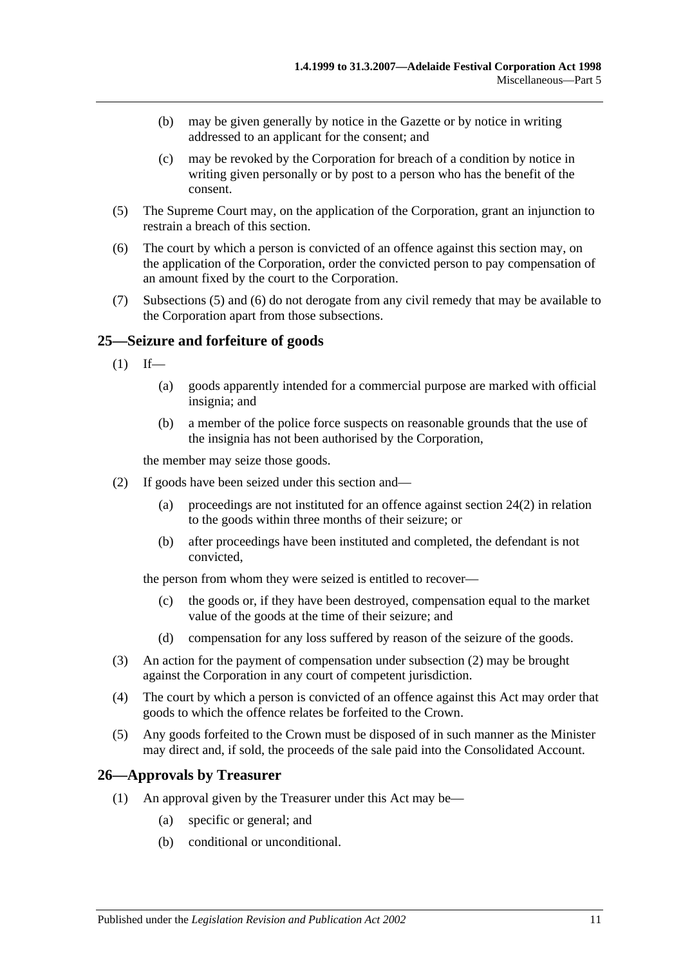- (b) may be given generally by notice in the Gazette or by notice in writing addressed to an applicant for the consent; and
- (c) may be revoked by the Corporation for breach of a condition by notice in writing given personally or by post to a person who has the benefit of the consent.
- <span id="page-10-2"></span>(5) The Supreme Court may, on the application of the Corporation, grant an injunction to restrain a breach of this section.
- <span id="page-10-3"></span>(6) The court by which a person is convicted of an offence against this section may, on the application of the Corporation, order the convicted person to pay compensation of an amount fixed by the court to the Corporation.
- (7) [Subsections](#page-10-2) (5) and [\(6\)](#page-10-3) do not derogate from any civil remedy that may be available to the Corporation apart from those subsections.

#### <span id="page-10-0"></span>**25—Seizure and forfeiture of goods**

- $(1)$  If—
	- (a) goods apparently intended for a commercial purpose are marked with official insignia; and
	- (b) a member of the police force suspects on reasonable grounds that the use of the insignia has not been authorised by the Corporation,

the member may seize those goods.

- <span id="page-10-4"></span>(2) If goods have been seized under this section and—
	- (a) proceedings are not instituted for an offence against [section](#page-9-5) 24(2) in relation to the goods within three months of their seizure; or
	- (b) after proceedings have been instituted and completed, the defendant is not convicted,

the person from whom they were seized is entitled to recover—

- (c) the goods or, if they have been destroyed, compensation equal to the market value of the goods at the time of their seizure; and
- (d) compensation for any loss suffered by reason of the seizure of the goods.
- (3) An action for the payment of compensation under [subsection](#page-10-4) (2) may be brought against the Corporation in any court of competent jurisdiction.
- (4) The court by which a person is convicted of an offence against this Act may order that goods to which the offence relates be forfeited to the Crown.
- (5) Any goods forfeited to the Crown must be disposed of in such manner as the Minister may direct and, if sold, the proceeds of the sale paid into the Consolidated Account.

#### <span id="page-10-1"></span>**26—Approvals by Treasurer**

- (1) An approval given by the Treasurer under this Act may be—
	- (a) specific or general; and
	- (b) conditional or unconditional.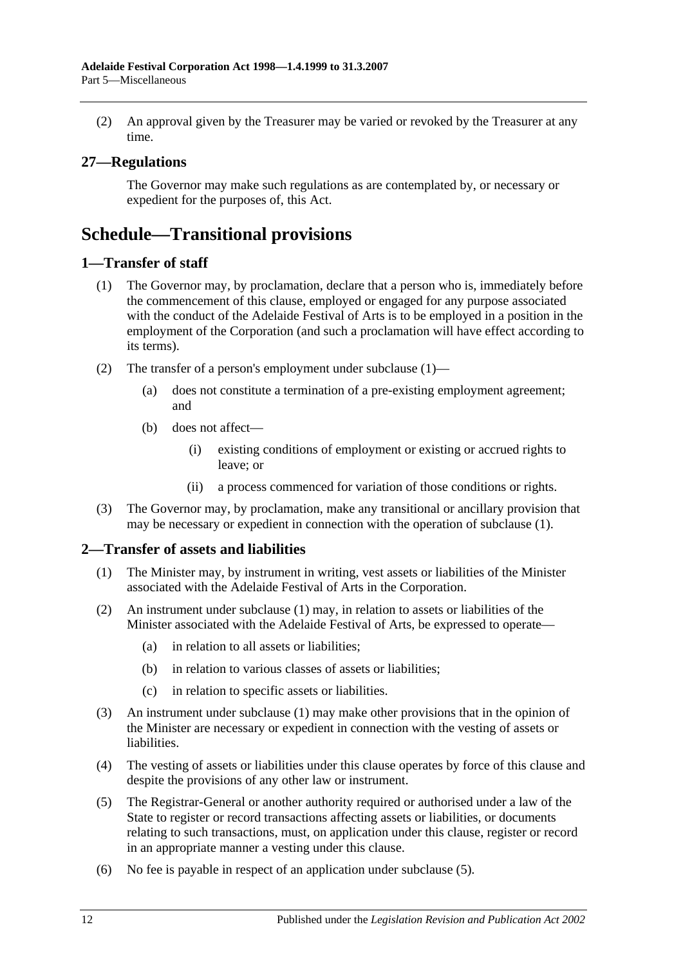(2) An approval given by the Treasurer may be varied or revoked by the Treasurer at any time.

#### <span id="page-11-0"></span>**27—Regulations**

The Governor may make such regulations as are contemplated by, or necessary or expedient for the purposes of, this Act.

# <span id="page-11-1"></span>**Schedule—Transitional provisions**

#### <span id="page-11-4"></span><span id="page-11-2"></span>**1—Transfer of staff**

- (1) The Governor may, by proclamation, declare that a person who is, immediately before the commencement of this clause, employed or engaged for any purpose associated with the conduct of the Adelaide Festival of Arts is to be employed in a position in the employment of the Corporation (and such a proclamation will have effect according to its terms).
- (2) The transfer of a person's employment under [subclause](#page-11-4) (1)—
	- (a) does not constitute a termination of a pre-existing employment agreement; and
	- (b) does not affect—
		- (i) existing conditions of employment or existing or accrued rights to leave; or
		- (ii) a process commenced for variation of those conditions or rights.
- (3) The Governor may, by proclamation, make any transitional or ancillary provision that may be necessary or expedient in connection with the operation of [subclause](#page-11-4) (1).

#### <span id="page-11-5"></span><span id="page-11-3"></span>**2—Transfer of assets and liabilities**

- (1) The Minister may, by instrument in writing, vest assets or liabilities of the Minister associated with the Adelaide Festival of Arts in the Corporation.
- (2) An instrument under [subclause](#page-11-5) (1) may, in relation to assets or liabilities of the Minister associated with the Adelaide Festival of Arts, be expressed to operate—
	- (a) in relation to all assets or liabilities;
	- (b) in relation to various classes of assets or liabilities;
	- (c) in relation to specific assets or liabilities.
- (3) An instrument under [subclause](#page-11-5) (1) may make other provisions that in the opinion of the Minister are necessary or expedient in connection with the vesting of assets or liabilities.
- (4) The vesting of assets or liabilities under this clause operates by force of this clause and despite the provisions of any other law or instrument.
- <span id="page-11-6"></span>(5) The Registrar-General or another authority required or authorised under a law of the State to register or record transactions affecting assets or liabilities, or documents relating to such transactions, must, on application under this clause, register or record in an appropriate manner a vesting under this clause.
- (6) No fee is payable in respect of an application under [subclause](#page-11-6) (5).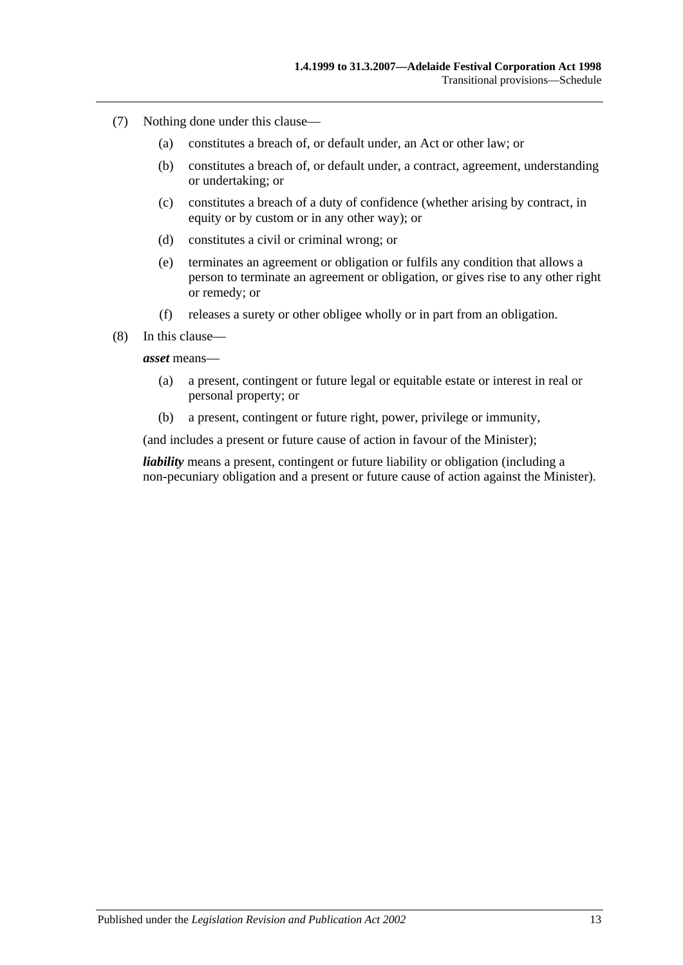- (7) Nothing done under this clause—
	- (a) constitutes a breach of, or default under, an Act or other law; or
	- (b) constitutes a breach of, or default under, a contract, agreement, understanding or undertaking; or
	- (c) constitutes a breach of a duty of confidence (whether arising by contract, in equity or by custom or in any other way); or
	- (d) constitutes a civil or criminal wrong; or
	- (e) terminates an agreement or obligation or fulfils any condition that allows a person to terminate an agreement or obligation, or gives rise to any other right or remedy; or
	- (f) releases a surety or other obligee wholly or in part from an obligation.
- (8) In this clause—

*asset* means—

- (a) a present, contingent or future legal or equitable estate or interest in real or personal property; or
- (b) a present, contingent or future right, power, privilege or immunity,

(and includes a present or future cause of action in favour of the Minister);

*liability* means a present, contingent or future liability or obligation (including a non-pecuniary obligation and a present or future cause of action against the Minister).